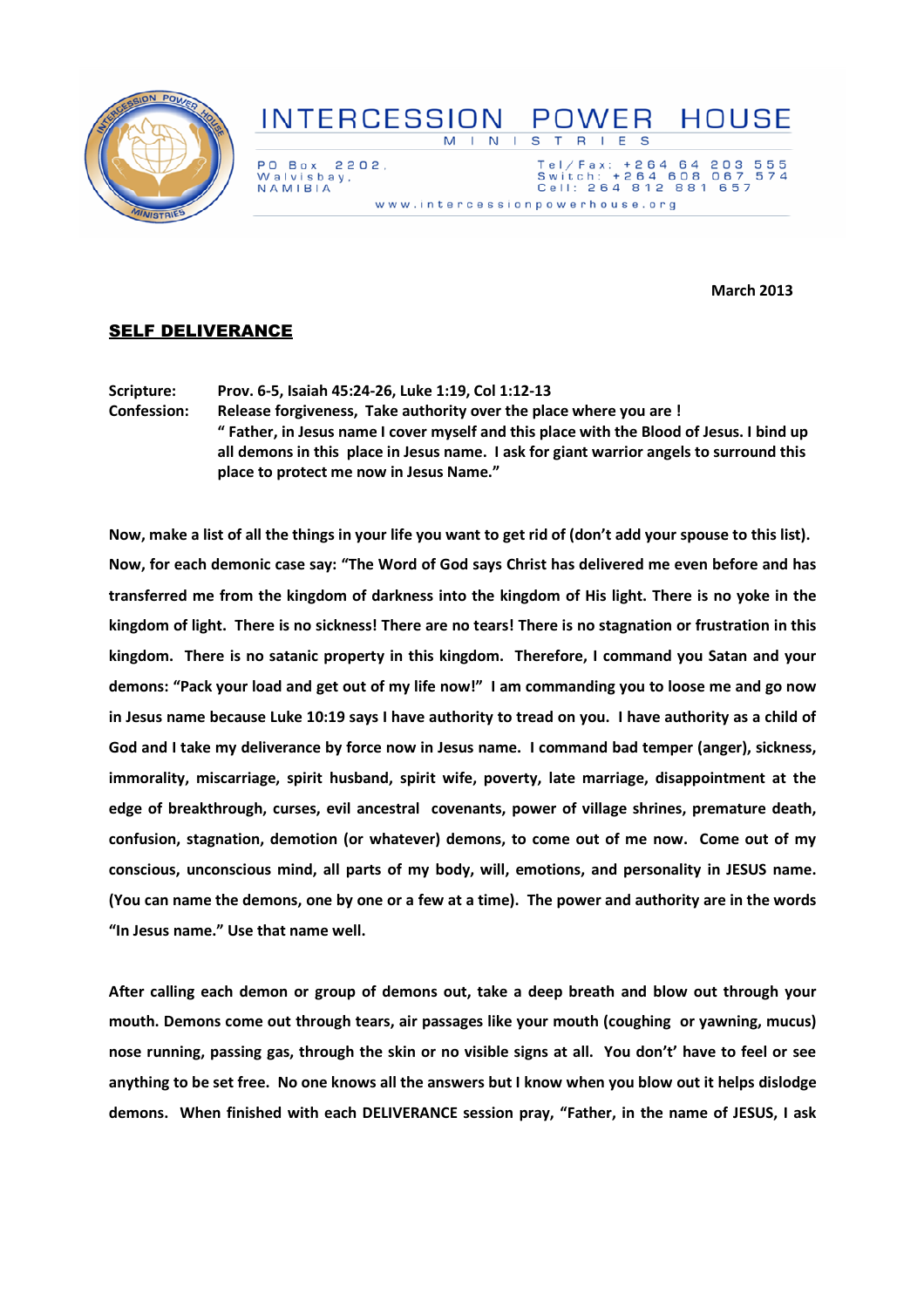

## INTERCESSION POWER HOUSE M I N I S T R I E S

PO Box 2202. Walvisbay,<br>NAMIBIA

Tel/Fax: +264 64 203<br>Switch: +264 608 067<br>Cell: 264 812 881 657 555<br>574 www.intercessionpowerhouse.org

March 2013

## **SELF DELIVERANCE**

Scripture: Prov. 6-5, Isaiah 45:24-26, Luke 1:19, Col 1:12-13 Confession: Release forgiveness, Take authority over the place where you are ! " Father, in Jesus name I cover myself and this place with the Blood of Jesus. I bind up all demons in this place in Jesus name. I ask for giant warrior angels to surround this place to protect me now in Jesus Name."

Now, make a list of all the things in your life you want to get rid of (don't add your spouse to this list). Now, for each demonic case say: "The Word of God says Christ has delivered me even before and has transferred me from the kingdom of darkness into the kingdom of His light. There is no yoke in the kingdom of light. There is no sickness! There are no tears! There is no stagnation or frustration in this kingdom. There is no satanic property in this kingdom. Therefore, I command you Satan and your demons: "Pack your load and get out of my life now!" I am commanding you to loose me and go now in Jesus name because Luke 10:19 says I have authority to tread on you. I have authority as a child of God and I take my deliverance by force now in Jesus name. I command bad temper (anger), sickness, immorality, miscarriage, spirit husband, spirit wife, poverty, late marriage, disappointment at the edge of breakthrough, curses, evil ancestral covenants, power of village shrines, premature death, confusion, stagnation, demotion (or whatever) demons, to come out of me now. Come out of my conscious, unconscious mind, all parts of my body, will, emotions, and personality in JESUS name. (You can name the demons, one by one or a few at a time). The power and authority are in the words "In Jesus name." Use that name well.

After calling each demon or group of demons out, take a deep breath and blow out through your mouth. Demons come out through tears, air passages like your mouth (coughing or yawning, mucus) nose running, passing gas, through the skin or no visible signs at all. You don't' have to feel or see anything to be set free. No one knows all the answers but I know when you blow out it helps dislodge demons. When finished with each DELIVERANCE session pray, "Father, in the name of JESUS, I ask